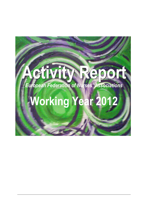# **Activity Report** *European Federation of Nurses' Associations*

# **Working Year 2012**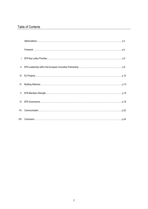# Table of Contents

| VII. |  |
|------|--|
|      |  |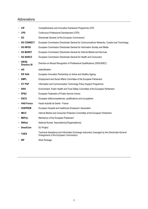# Abbreviations

| <b>CIP</b><br>٠                                                                     | Competitiveness and Innovation framework Programme (CIP)                                                                                       |  |  |
|-------------------------------------------------------------------------------------|------------------------------------------------------------------------------------------------------------------------------------------------|--|--|
| CPD                                                                                 | Continuous Professional Development (CPD)                                                                                                      |  |  |
| · DG                                                                                | Directorate General (of the European Commission)                                                                                               |  |  |
| <b>DG CONNECT</b><br>٠                                                              | European Commission Directorate General for Communications Networks, Content and Technology                                                    |  |  |
| <b>DG INFSO</b>                                                                     | European Commission Directorate General for Information Society and Media                                                                      |  |  |
| <b>DG MARKT</b>                                                                     | European Commission Directorate General for Internal Market and Services                                                                       |  |  |
| <b>DG SANCO</b><br>European Commission Directorate General for Health and Consumers |                                                                                                                                                |  |  |
| <b>DIR36/</b><br>Directive 36                                                       | Directive on Mutual Recognition of Professional Qualifications (2005/36/EC)                                                                    |  |  |
| elD<br>٠                                                                            | eldentification                                                                                                                                |  |  |
| · EIP AHA<br>European Innovation Partnership on Active and Healthy Ageing           |                                                                                                                                                |  |  |
| <b>EMPL</b><br>٠                                                                    | Employment and Social Affairs Committee of the European Parliament                                                                             |  |  |
| <b>ICT PSP</b>                                                                      | Information and Communication Technology Policy Support Programme                                                                              |  |  |
| - ENVI                                                                              | Environment, Public Health and Food Safety Committee of the European Parliament                                                                |  |  |
| EPSU                                                                                | European Federation of Public Service Unions                                                                                                   |  |  |
| ESCO                                                                                | European skills/competences, qualifications and occupations                                                                                    |  |  |
| <b>HAS-France</b>                                                                   | Haute Autorité de Santé - France                                                                                                               |  |  |
| <b>HOSPEEM</b>                                                                      | European Hospital and healthcare Employers' Association                                                                                        |  |  |
| <b>IMCO</b><br>٠                                                                    | Internal Market and Consumer Protection Committee of the European Parliament                                                                   |  |  |
| MEP(s)<br>٠                                                                         | Member(s) of the European Parliament                                                                                                           |  |  |
| $\cdot$ NNA(s)                                                                      | National Nurses' Association(s)/Organisation(s)                                                                                                |  |  |
| <b>SmartCare</b>                                                                    | <b>EU Project</b>                                                                                                                              |  |  |
| <b>TAIEX</b>                                                                        | Technical Assistance and Information Exchange instrument (managed by the Directorate-General<br><b>Enlargement of the European Commission)</b> |  |  |
| <b>WP</b>                                                                           | Work Package                                                                                                                                   |  |  |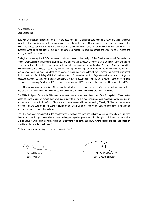#### Foreword

Dear EFN Members, Dear Colleagues,

2012 was an important milestone in the EFN future development! The EFN members voted on a new Constitution which will make the EFN more inclusive in the years to come. This shows that the EFN members are more than ever committed to EFN, This indeed can be a result of the financial and economic crisis, namely when nurses and their leaders ask the question: 'What do we get back for our fee?' For sure, what nurses' get back is a strong and united voice for nurses and nursing in the EU policy process.

Strategically speaking, the EFN's key lobby priority was given to the design of the Directive on Mutual Recognition of Professional Qualifications (Directive 2005/36/EC) and lobbying the European Commission, the Council of Ministers and the European Parliament to get the nurses' views included in the reviewed text of the Directive. And the EFN members and the EFN Professional Committee, in particular, made this all happen! Getting into the European Parliament is key to make the nurses' voice heard, but more important: politicians value the nurses' voice. Although the European Parliament Environment, Public Health and Food Safety (ENVI) Committee vote on 6 November 2012 on Anja Weisgerber report did not get the expected outcome, as they voted against upgrading the nursing requirement from 10 to 12 years, it gave us even more energy to keep on going for what the EFN believes and strengthened EFN members direct contact with their elected MEPs!

The EU workforce policy design is EFN's second key challenge. Therefore, the skill mix/skill needs will stay on the EFN agenda till DG Sanco and DG Employment commit to concrete outcomes benefitting the nursing profession.

The EFN's third policy focus is the EU cross-border healthcare. At least some dimensions of the EU legislation. The use of ehealth solutions to support nurses' daily work is a priority to move to a more integrated care model supported and run by nurses. When it comes to the reform of healthcare systems, nurses will keep on leading 7/week, 24h/day the complex care process in making sure the patient stays central in the decision-making process. Nurses stay the best ally of the patient as nurses' advocacy can make things happen.

The EFN members' commitment in the development of political positions and policies, collecting data, often within short timeframes, providing good innovative practices and supporting colleagues when going through rough times at home, is what EFN is about. A united political voice, within an environment of solidarity and equity, where policies are designed based on scientific evidence is the way forward!

We look forward to an exciting, creative and innovative 2013!

Clearn

Ms Unni Hembre Mr. Paul De Raeve *EFN President EFN General Secretary*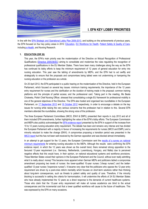

# **I. EFN KEY LOBBY PRIORITIES**

In line with the [EFN Strategic and Operational Lobby Plan 2009-2013,](http://www.efnweb.be/wp-content/uploads/2011/11/Updated_EFN_Strategic_and_Operational_LobbyPlan_2009-2013_EN.pdf) and building on the achievements of previous years, the EFN focused on four key policy areas in 2012: [Education,](http://ec.europa.eu/internal_market/qualifications/policy_developments/legislation_en.htm) [EU Workforce](http://ec.europa.eu/health/workforce/mobility/index_en.htm) for Health, [Patient Safety & Quality of Care,](http://ec.europa.eu/health-eu/care_for_me/patient_safety/index_en.htm) includin[g e-Health,](http://ec.europa.eu/health-eu/care_for_me/e-health/index_en.htm) and Nursing Research.

#### **1. EDUCATION (DIR 36)**

This year, the EFN's main priority was the modernisation of the Directive on Mutual Recognition of Professional Qualifications [\(Directive 2005/36/EC\)](http://ec.europa.eu/internal_market/qualifications/future_en.htm) aiming to consolidate and modernise the rules regulating the recognition of professional qualifications in the EU Member States. There have been many challenges along the way as the EFN has continued its lobby efforts to keep the minimum requirement of 12 years of general education for entry into nursing education. This year saw the tabling of amendments by MEPs, and the EFN had to act swiftly and strategically to ensure that the proposals and compromises being tabled were not undermining or hampering the nursing education or the profession as a whole.

On 25 April 2012, the EFN participated in a public hearing on the modernisation of the Directive, held in the European Parliament, which focused on several key issues: minimum training requirements; the importance of the 12 years entry requirement for nurses and the clarification on the duration of training made in the proposal; common training platforms and the principle of partial access; and the professional card. Taking part in the meeting, Ms Beata Cholewka, Polish Chief Nursing Officer, stressed that consolidating a single EU framework for professional mobility is one of the general objectives of the Directive. The EFN also hosted and organised two roundtables in the European Parliament, on [17 September 2012](http://www.efnweb.be/?p=2775) and [16 October 2012](http://www.efnweb.be/?p=2929) respectively, in order to encourage a debate on the key issues for nursing while raising the very serious concerns that the profession had in relation to this. Several EFN members attended the roundtables, showing the strong voice of the profession.

The three European Parliament Committees (IMCO, ENVI & EMPL) presented their reports in July 2012 and all of them included EFN amendments, further highlighting the value of the EFN's lobby efforts. The European Commission and MEPs also publicly acknowledged th[e EFN evidence report](http://www.efnweb.be/wp-content/uploads/2012/05/EFN-Evidence-Report-on-increasing-nursing-education-entry-requirement-from-10-12-years.pdf) presented by the EFN in support of the increase from 10 to 12 years nursing education entry requirement. The debate has been and remains very intense and has divided the European Parliament with a majority in favour of increasing the requirements for nurses (IMCO and EMPL) and a minority reluctant to make the change (ENVI). A compromise proposing a transition period was presented in the [IMCO report](http://www.europarl.europa.eu/committees/en/imco/draft-reports.html?linkedDocument=true&ufolderComCode=IMCO&ufolderLegId=7&ufolderId=08295&urefProcYear=&urefProcNum=&urefProcCode=#menuzone) but this has not been well-received by the German opposition and was blocked almost immediately.

In an attempt to get support for the 12 years, the European Commission sent the results of a survey on national [minimum requirements](http://www.efnweb.be/wp-content/uploads/2012/08/Study-on-nursing-education-minimum-requirements.pdf) for entering nursing education to the MEPs. Although the results were confirming the EFN evidence report, in which the 12 years was shown as the overall trend, there remained strong opposition to the favoured 12-year requirement (i.e.: Germany, Netherlands, Luxembourg, Hungary, and Malta) due to perceived negative effects that this would have, in their opinion, on national educational systems and workforce provisions. These Member States voiced their opinions in the European Parliament and the Council, without ever really admitting what it is really about: money! This became more apparent when German MEPs and politicians tabled a compromise amendment proposing two levels of nurses: the lower-qualified 10-year nurses ("cheap nurses") and the betterqualified 12-year nurses ("expensive nurses"). It became very clear that the politicians who oppose the 12-year entry requirement are driven by a post-crisis reform mentality which focuses on short-term solutions rather than thinking about long-term consequences, such as threats to patient safety and quality of care. Therefore, if the minority blocking is successful in setting the criteria for harmonisation, it will undermine the efforts of 24 EU Member States who have already implemented the 12 years as a direct response to the demands of current healthcare systems. Those who claim that the 12-year entry requirement will make all nurses academics are blind to the actual consequences and the incremental cost that a lower qualified workforce will cause to the future of healthcare. This was expressed by the EFN on many occasions.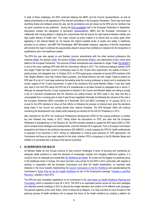In spite of these challenges, the EFN continued lobbying the MEPs and the Council representatives, as well as tabling amendments to the rapporteurs of the relevant committees in the European Parliament. There may have been stumbling blocks and setbacks along the way, but the persistence and grit shown by the EFN and its members has not gone unnoticed by key politicians. During the [EFN roundtable](http://www.efnweb.be/?p=2775) held in the European Parliament in September, discussions showed the willingness of permanent representations, MEPs and the European Commission to collaborate with nursing leaders in shaping the compromises that will ensure the right balance between mobility and high quality delivery of health care. "Our major concern as policy makers is to ensure that our policy goals when legislating in the Internal Market do not hamper the highest possible levels of quality and safety in healthcare provision to our citizens", said MEP Phil Prendergast. MEP Bernadette Vergnaud, rapporteur of this file, emphasised with emotion the need to embrace the opportunities ahead to ensure that confidence is injected into the recognition of qualifications and in the healthcare system.

The EFN this year also agreed on and finalised common amendments with five other sectoral professions (the midwives [\(EMA\),](http://www.europeanmidwives.org/) the dentists [\(CDE\)](http://www.eudental.eu/), the doctors [\(CPME\)](http://www.cpme.eu/), pharmacists [\(PGEU\)](http://www.pgeu.eu/), and veterinarians [\(FVE\)](http://www.fve.org/), which were tabled to the European Parliament. The outcome of these amendments was presented to Jürgen Tiedje [\(DG MARKT\)](http://ec.europa.eu/dgs/internal_market/index_en.htm) in one of the many meetings EFN held with the Commission official in 2012. The continuous dialogue between EFN and Jürgen Tiedje has been crucial in exchanging views on the 12-year entry requirement, the update of Annex V, partial access, and delegated acts. In October 2012, an EFN expert group composed of several EFN members (Ulla Falk, Birgitta Wedahl, Carol Hall, Kirstine Rask Lauridsen, and Sheila Dickson) met with Jürgen Tiedje to present an EFN plan B (a list of 3 core legal sentences formulating what the nursing profession is about) and to emphasize the nurses' support of the 12-year requirement, in spite of the resistance from some Member States. It was also made very clear to him that EFN wants the EFN list of 6 competencies to be taken forward by delegated acts in Annex V. Although he stressed that the 12-year requirement is blocked in the Council and Member States are willing to accept a set of 3 low-level competencies that the Germans are putting forward, the EFN made it very clear that this is unacceptable from a nursing point of view! A plan B was negotiated informally but following the outcome of the vote in the European Parliament (ENVI committee on 6 November 2012 and IMCO committee on 10 January 2013), it is crucial for the EFN members to focus all their efforts on following the process at national level since the decisions being made in the Council are coming directly from national ministries. The EFN Brussels Office will continue monitoring the developments very closely while preparing pro-actively for the Irish EU Presidency in 2013.

Also important for the EFN, the Continuous Professional Development (CPD) for the nursing profession is another key item followed very closely in 2012. Taking further the discussions on CPD, and seen that the European Parliament is strengthening it in the Directive 36, the EFN members decided to update the EFN report 2006 on CPD, and to analyse future strategies and developments, once the Directive 36 is approved. From a European Commission perspective and linked to the workforce discussions (DG SANCO), a study mapping the CPD for health professionals is expected to be launched in 2013. Aiming at collaboration in sharing good practices on CPD approaches, the Commission will focus on two major aspects for this study: whether CPD is compulsory in the EU Member States and whether it is connected with a renewal of the licence to practice.

#### **2. EU WORKFORCE FOR HEALTH**

As Member States all over Europe continue to face common challenges in terms of ensuring and maintaining an adequate health workforce to meet the demands of increasingly complex and changing healthcare systems, it is crucial to have an adequate and sustainable [EU Workforce for Health.](http://ec.europa.eu/health-eu/europe_for_patients/health_workforce/index_en.htm) As nurses are the biggest occupational group in the healthcare sector in Europe, this issue has been a key priority for the EFN in 2012, particularly with regards to working, in cooperation with the European Commission and other EU Health stakeholders, on important skills initiatives in the move towards implementing the [Council Conclusions on the EU Workforce](http://www.consilium.europa.eu/uedocs/cms_data/docs/pressdata/en/lsa/118280.pdf) and operationalizing the Commission's [Action Plan for the EU](http://ec.europa.eu/dgs/health_consumer/docs/swd_ap_eu_healthcare_workforce_en.pdf) Health Workforce as part of the Employment package ["Towards a Job](http://eur-lex.europa.eu/LexUriServ/LexUriServ.do?uri=COM:2012:0173:FIN:EN:PDF)-Rich [Recovery"](http://eur-lex.europa.eu/LexUriServ/LexUriServ.do?uri=COM:2012:0173:FIN:EN:PDF), adopted in April 2012.

The EFN this year completed negotiations on its involvement in the [Joint Action on Health Workforce Planning and](http://euhwforce.eu/)  [Forecasting,](http://euhwforce.eu/) which is expected to kick off in 2013. The EFN is an associated partner across all core work packages and attended several meetings in 2012 to discuss the budget allocation and content of the different work packages. The general objective of this Joint Action, which is being led by Belgium, is to help countries to move forward on the planning process of health workforce and to prepare the future of the health workforce by creating a platform for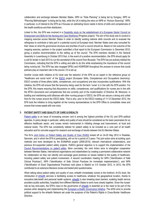collaboration and exchange between Member States. WP4 on "Data Planning" is being led by Hungary, WP5 on "Planning Methodologies" is being led by Italy, while the UK is taking the reins on WP6 on "Horizon Scanning". WP6, in particular, is of interest to the EFN as it focuses on estimating future needs in terms of skills and competencies of the health workforce and their distribution.

Linked to this, the EFN was involved in a [Feasibility study on the establishment](http://skillsfornursingandcare.eu/) of a European Sector Council on [Employment and Skills for the Nursing and Care Workforce](http://skillsfornursingandcare.eu/) (Progress project). The aim of the study was to conduct a mapping exercise across Member States in order to identify existing national skills councils and to evaluate the willingness to contribute or take part in a potential council at European level. Member States were also consulted for their views on what the governance structure and priorities of such a council should be. Based on the outcome of the mapping exercise, partners in the project submitted a final report to the European Commission in December 2012, giving a positive recommendation to the setting up of the council. The EFN members decided in the General Assembly in Luxembourg in October 2012 that, in the event of a positive recommendation, the EFN should apply for a call for tender in April 2013 to run the secretariat of the council from Brussels. The EFN has pro-actively lobbied the Commission, indicating that the EFN is willing and able to do this while emphasising the importance of the council being nursing led. The EFN has also engaged EPSU and HOSPEEM throughout the process to ensure that social partners play an important role in the council, if it is set up.

Another crucial skills initiative at EU level was the selection of the EFN as an expert in the reference group on "Healthcare and social work" of the [ESCO](http://ec.europa.eu/social/main.jsp?langId=en&catId=89&newsId=852) project (European Skills, Competences and Occupations taxonomy). ESCO consists of three pillars (skills, competences, and occupations) and also incorporates qualifications. With this initiative, the EFN will ensure that the taxonomy being used for the term 'nurse' is in line with the EFN position. For the EFN, this means ensuring that discussions on skills, competences, and qualifications for nurses are in line with the EFN's documents and competencies that are currently part of the modernisation of Directive 36. Moreover, in building and maintaining solid alliances with other nursing groups in ESCO, the EFN can secure a strong and united front for the nurses around the ESCO table. That is why, prior to the ESCO meeting of 11-12 December 2012, the EFN took the initiative to bring together all the nursing representatives to the EFN Office to consolidate views and ensure that nurses speak with one voice.

#### **3. PATIENT SAFETY AND QUALITY OF CARE & EHEALTH**

[Patient safety](http://ec.europa.eu/health-eu/care_for_me/patient_safety/index_en.htm) is an issue of increasing concern and is among the highest priorities of the EU and EFN political agendas. In policy design in particular, safety and quality of care should be considered as the basic parameters for an effective healthcare sector, and nurses remain instrumental in initiating change and improvement, at local and national levels. The EFN has consistently lobbied for patient safety to be included as a core part of all health education and for concrete support for research and exchange of results between the EU Member States.

The EU's [Joint Action on Patient Safety and Quality of Care \(PaSQ\)](http://pasq.eu/) kicked off on 24-25 May 2012 in Roskilde, Denmark, and in which the EFN is participating, will run for a period of 3 years. The joint action aims at building upon methods and tools developed by the EUNetPaS project (2008-2010), relevant international collaborations, and previous EU-supported patient safety projects. PaSQ's general objective is to support the implementation of the [Council Recommendations on patient safety.](http://www.consilium.europa.eu/uedocs/cms_Data/docs/pressdata/en/lsa/108381.pdf) More concretely, the Joint Action aims to strengthen cooperation between Member States, international organisations and stakeholders by creating a permanent collaborative network for collaboration so they can identify and exchange good practices on issues related to the quality of healthcare, including patient safety and patient involvement. A second coordination meeting for WP4 ("Identification of Safe Clinical Practices"), WP5 ("Identification of Safe Clinical Practices for immediate implementation"), and WP6 ("Identification of Good Organisational Practices) took place in Madrid on 3-5 October 2012. In 2012, the EFN contributed to an extensive literature review and tested pilot questionnaires.

When talking about patient safety and quality of care, eHealth immediately comes to the forefront. At EU level, the introduction of [eHealth](http://ec.europa.eu/health-eu/care_for_me/e-health/index_en.htm) services is facilitating access to healthcare, whatever the geographical location, thanks to innovative tele-health and personal health systems. [eHealth](http://ec.europa.eu/health-eu/care_for_me/e-health/index_en.htm) is also breaking down barriers, enabling health service providers (public authorities, hospitals) from different Member States to work more closely together. Given the nurses' role as key end-users, the EFN's input to the governance of [eHealth](http://ec.europa.eu/health-eu/care_for_me/e-health/index_en.htm) is essential as is the need to be part of the process when designing and implementing the European e-Health [Governance Initiative.](http://ec.europa.eu/information_society/activities/health/policy/ehealth_governance_initiative/index_en.htm) The eHGI aims to provide political support to the eHealth Network set under the auspices of the Patient's Rights in Cross-Border Healthcare Directive.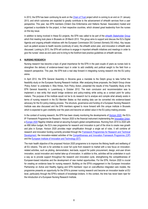In 2012, the EFN has been continuing its work on the [Chain of Trust](http://www.chainoftrust.eu/) project which is coming to an end on 31 January 2013, and which outcomes are expected to greatly contribute to the advancement of eHealth services from a user perspective. This year, two EFN members (Ordem Dos Enfermeiros and Hellenic Nurses' Association) hosted and organised a roundtable for the project, in their respective countries, which showed great leadership from the nurses on this key issue.

In addition to being involved in these EU projects, the EFN was called to be part of the [eHealth Stakeholder Group](http://ec.europa.eu/digital-agenda/en/digital-life/health) which first meeting took place in Brussels on 29 March 2012. This group aims to support and discuss the EU's Digital Agenda and ongoing eHealth initiatives with the European Commission DG Connect (formerly DG Infso). Key issues such as patient access to health records (continuity of care), the eHealth action plan, and innovation in eHealth were discussed. Looking to 2013, the EFN will continue to engage in important eHealth initiatives and meetings in order to give the nurses' views as end users and to bring to the forefront best practice guidelines on eHealth services.

#### **4. NURSING RESEARCH**

Nursing research has become a topic of great importance for the EFN in the past couple of years as nurses look to strengthen the delivery of evidence-based input in order to add credibility and political weight to the field from a research perspective. This year, the EFN took a real step forward in integrating nursing research into the EU policy arena.

In April 2012, the EFN General Assembly in Slovenia gave a mandate to the Delphi group to take further the feasibility study on the European Nursing Research Institute. After analysing three proposals, the Delphi Group chose 'Policy Action' to undertake it. Wes Himes, from Policy Action, presented the results of this Feasibility Study at the EFN General Assembly in Luxembourg in October 2012. The main conclusion and recommendation was to implement a new entity that would bridge evidence and policy-making while acting as a contact point for policy makers. The purpose of the institute would not be to do research but to analyse and compile what already exists in terms of nursing research in the EU Member States so that existing data can be converted into evidence-based advocacy for the EU policy-making process. The structure, governance and funding of a European Nursing Research Institute was also discussed and the EFN members agreed to move forward with this unique institute in Brussels which is expected to gain credibility over the years and become an added value in the EU policy-making process.

In the context of nursing research, the EFN has been closely monitoring the developments of [Horizon 2020](http://ec.europa.eu/research/horizon2020/index_en.cfm), the EU's 8<sup>th</sup> Framework Programme for Research. Horizon 2020 is the financial instrument implementing the *[Innovation](http://ec.europa.eu/research/innovation-union/index_en.cfm) Union*, a [Europe](http://ec.europa.eu/europe2020/index_en.htm) 2020 flagship initiative aimed at securing Europe's global competitiveness. Running from 2014 to 2020 with an €80 billion budget, the EU's new programme for research and innovation is part of the drive to create new growth and jobs in Europe. Horizon 2020 provides major simplification through a single set of rules. It will combine all research and innovation funding currently provided through the Framework [Programmes](http://cordis.europa.eu/fp7/home_en.html) for Research and Technical [Development,](http://cordis.europa.eu/fp7/home_en.html) the innovation-related activities of the [Competitiveness and Innovation Framework Programme \(CIP\)](http://ec.europa.eu/cip/) and th[e European Institute of Innovation and Technology \(EIT\).](http://eit.europa.eu/)

The main health objective of the proposed Horizon 2020 programme is to improve the lifelong health and wellbeing of all EU citizens. The aim is for activities to cover full cycle from research to market with a new focus on innovationrelated activities, such as piloting, demonstration, test-beds, support for public procurement, design, end-user driven innovation, social innovation and market take-up of innovation. In addition to this, activities will be undertaken in such a way as to provide support throughout the research and innovation cycle, strengthening the competitiveness of European-based industries and the development of new market opportunities. For the EFN, Horizon 2020 is crucial for creating an evidence base for nursing research. Building on the EFN's engagement in the European Innovation Partnership on Active and Healthy Ageing and EFN members' input on cost-effective integrated care models, the programme presents an opportunity for the EFN to pioneer nursing research and become an innovation leader at EU level, particularly through the EFN's network of knowledge brokers. In this context, the time has never been riper for the introduction of a European Nursing Research Institute.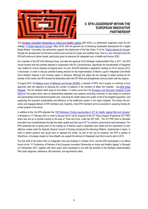

## **II. EFN LEADERSHIP WITHIN THE EUROPEAN INNOVATIVE PARTNERSHIP**

The [European Innovation Partnership on Active and Healthy Ageing](http://ec.europa.eu/research/innovation-union/index_en.cfm?section=active-healthy-ageing) (EIP AHA) is a partnership organised under the EU strategy "[A Digital Agenda for Europe](http://ec.europa.eu/information_society/digital-agenda/index_en.htm)" (May 2010), with the general aim of delivering sustainable development for a digital Single Market. Concretely, the partnership supports the deployment of the Key Action 13 of the "[Digital Agenda for Europe](http://ec.europa.eu/digital-agenda/)" through the development of innovative products and services for longer and healthier lives. This is a very important issue the EFN will continue to follow closely, particularly given its relevance for integrated care, e-Health and Horizon 2020.

As a member of the EIP AHA Steering Group, and after the approval of the Strategic Implementation Plan in 2011, the EFN moved forward with the priorities selected in cooperation with EU Commissioners, specifically the transferability of integrated care models for chronic diseases at regional level. As such, the EFN attended a negotiation meeting on 23-24 January 2012, in Bucharest, in order to discuss potential funding streams for the implementation of Marina Lupari's Integrated Care Model (from Northern Ireland) in the Covasna region in Romania. Although the region did not manage to obtain funding for the transfer of the model, the EFN showed its leadership within the EIP AHA and strengthened communication with key regions.

In August 2012, the Maltese Union of [Midwives](http://www.mumn.org/) and Nurses (MUMN), a member of EFN, had a project on continuity of care approved (with the objective at reducing the number of patients in the corridors of Mater Dei Hospital – see EFN [Press](http://www.efnweb.be/wp-content/uploads/2011/09/EFN-Press-Release-1.2-Million-Euros-to-upscale-and-implement-Integrated-Care-and-early-discharge-in-Malta-27-08-2012.pdf) [Release\)](http://www.efnweb.be/wp-content/uploads/2011/09/EFN-Press-Release-1.2-Million-Euros-to-upscale-and-implement-Integrated-Care-and-early-discharge-in-Malta-27-08-2012.pdf). The EU declared itself ready to fund Malta 1.2 million euros from the [European](http://ec.europa.eu/regional_policy/thefunds/cohesion/index_en.cfm) and Structural Cohesion Funds [\(ESF\)](http://ec.europa.eu/regional_policy/thefunds/cohesion/index_en.cfm) for this project which aims at implementing integrated care systems promoting continuity of care based on proactive and personalised community/home-based care, improving the health status and quality of life of the targeted population, and supporting the long-term sustainability and efficiency of the healthcare system in the region targeted. This shows the proactive and engaged attitude of EFN members and, hopefully, more EFN members will be successful in acquiring funding for similar projects in the future.

In addition to this, the EFN attended the "[CIP Workshop: Finding opportunities in ICT for Health, Ageing Well and Inclusion](http://www.epractice.eu/en/events/2012-cip-workshop-health-ageing-inclusion)" in Brussels on 17 February 2012 in order to discuss the 6<sup>th</sup> call for proposal of the ICT Policy Support Programme (ICT PSP) which was set up to provide funding to the area of "Care and Cure" under the EIP AHA. The ICT PSP aims to stimulate innovation and competitiveness through the wider uptake and best use of ICT by citizens, governments and businesses. The EFN presented the on-going work on the scaling up of Marina Lupari's integrated care model and the importance of costeffective models while the Spanish General Council of Nursing introduced the eNursing Platform, implemented in Spain, in order to attract partners who would wish to replicate the model. As part of this call for proposal, the EFN is partner of SmartCare, a European project on how eHealth can support the delivery of Integrated Care that is due to start in 2013.

The first draft of the Action Plan on Integrated Care was finalised in October 2012, and the EFN participated in its official launch at the "1st Conference of Partners of the European Innovation Partnership on Active and Healthy Ageing" in Brussels on 6 November 2012, together with other action plans developed in line with the priorities of the Strategic Implementation Plan (early diagnosis, adherence, fall prevention, and age-friendly cities).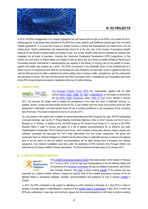

# **III. EU PROJECTS**

In 2012, the EFN's engagement in EU projects highlighted the core issues that are high on the EFN's, and indeed the EU's, political agenda. It has always been important for the EFN that nurses, patients, and healthcare systems gain from innovative eHealth applications. It is crucial that nurses are closely involved to ensure that developments are health-driven and not market-driven. Patient centeredness and empowerment should be at the very core of the process of developing eHealth initiatives for the benefit of patient safety and quality of care, and nurses' eHealth skills must be identified as important and integrated into all levels of education, including the Continuous Professional Development (CPD) programmes. In this context, the Joint Action on Patient Safety and Quality of Care as well as the Joint Action on Health Workforce Planning and Forecasting become instrumental in operationalizing key aspects of the delivery of nursing care for the benefit of nurses, patients and health care systems as a whole. The EFN's involvement in the Feasibility Study on the Establishment of a Sector Council on Employment and Skills for the Nursing and Care Workforce has also been crucial in gathering data from national skills structures to better understand the priority-setting when it comes to skills, competences, and the employment and education of nurses. This work will feed directly into ESCO (European Skills, Competences and Occupations taxonomy) as the EFN moves forward and extends it leadership within key EU skills initiatives.

#### **A. CHAIN OF TRUST**

# Chain<sub>of</sub>TRUST

[The European Patients' Forum \(EPF\)](http://www.eu-patient.eu/) has implemented, together with six other partners [\(EFN,](http://www.efnweb.eu/) [PGEU,](http://www.pgeu.eu/) [CPME,](http://www.cpme.eu/) [TIF,](http://www.thalassaemia.org.cy/) [NST,](http://www.telemed.no/index.php?language=en) & [SUSTENTO\)](http://www.sustento.lv/?lang=en), an EU project co-financed by the [EU Public Health Programme](http://ec.europa.eu/health/programme/policy/2008-2013/index_en.htm) called "[Chain of Trust](http://www.chainoftrust.eu/)" (CoT). Started in January

2011, this two-year EU project aims to assess the perspectives of the main end users of telehealth services, i.e. patients, doctors, nurses and pharmacists across the EU, to see whether and how views have evolved since the initial deployment of telehealth, and what barriers there still are to building confidence in and acceptance of this innovative type of services. The project is expected to end on 31January 2013.

As a key partner in this project and in addition to several teleconferences held throughout the year, the EFN participated in several meetings, such as the 3<sup>rd</sup> Project Steering Committee Meeting in Oslo on 26-27 January and the 4<sup>th</sup> one in Brussels on 11 October. In addition to this, the EFN hosted an EU Nurses Focus Group on 17 January at the EFN's Brussels Office in order to discuss and agree on a set of political recommendations for an effective and wider implementation of telehealth. The EU Nurses Focus Group, which included nursing policy decision makers, experts and scientists, presented and discussed the CoT's main deliverables from the nurses' perspective. The group also exchanged views on national strategies on eHealth and the state of play on telehealth services at national and regional level to set the scene on how the political recommendations will be taken forward from a European and national perspective. Two national roundtables were held under the leadership of EFN members from Portugal (Ordem dos Enfermeiros) and Greece (Hellenic Nurses Association). The final conference will take place on 24 January 2013.

#### **B. E-HEALTH GOVERNANCE INITIATIVE**



The e-Health [Governance Initiative \(eHGI\)](http://ec.europa.eu/information_society/activities/health/policy/ehealth_governance_initiative/index_en.htm) three years project, which started in February 2011 to end in 2014, is led by high level representatives of the EU Member States and co-financed by the [European Commission](http://ec.europa.eu/index_en.htm) through two different instruments: Joint Action and Thematic Network. The [eHGI](http://ec.europa.eu/information_society/activities/health/policy/ehealth_governance_initiative/index_en.htm) is about making [eHealth](http://ec.europa.eu/health-eu/care_for_me/e-health/index_en.htm) fit for practice and was

presented as a political initiative aiming to support the political work of the e-Health governance structure of the EU Member States in developing strategies, priorities, recommendations and guidelines on how to develop [eHealth](http://ec.europa.eu/health-eu/care_for_me/e-health/index_en.htm) in Europe.

In 2012, the EFN contributed to the project by attending an eHGI workshop in Brussels on 4 April 2012 in order to develop a concept paper on eldentification in advance of the [eHealth week in Copenhagen](http://ec.europa.eu/information_society/newsroom/cf/itemdetail.cfm?item_id=7030) in May 2012, in which the EFN also participated. It was clear and commonly agreed that the recommendations on eID need to build on existing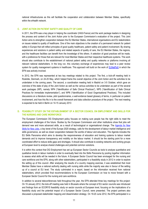national infrastructures as this will facilitate the cooperation and collaboration between Member States, specifically within the eHealth network.

#### **C. JOINT ACTION ON PATIENT SAFETY AND QUALITY OF CARE**

In 2011, the EFN was a key player in helping the coordinator (HAS-France) and the work package leaders in designing the process and content of the Joint Action prior to the European Commission's evaluation of the project. This Joint Action aims to strengthen cooperation between the EU Member States, international organisations and EU stakeholders on issues related to quality of healthcare. One of the main objectives is the creation of a permanent network for patient safety in Europe that will reflect principles of good quality healthcare, patient safety and patient involvement. By sharing experiences and solutions in patient safety and related aspects of quality of care, the EU Member States, the regions, and the healthcare facilities can benefit from the knowledge of the others. A selection of good practices will be made, with a preference for those that are relevant for most Member States and their respective healthcare systems. This work should also contribute to the establishment of national patient safety and quality networks or platforms involving all relevant national stakeholders. In the long run, this voluntary exchange of experiences may lead to a peer review system for quality management systems in healthcare. This approach will build on the work of [EUNetPaS](http://www.eunetpas.eu/) in which the EFN was actively involved.

In 2012, the EFN was represented at two key meetings related to this project. The first, a kick-off meeting held in Roskilde, Denmark, on 24-25 May, which helped frame the overall objective of the Joint Action and the activities to be undertaken in the coming years. The second, a coordination meeting held in Madrid on 3-5 October, which gave an overview of the state of play of the Joint Action as well as the various activities to be undertaken as part of the several work packages (WP), namely WP4 ("Identification of Safe Clinical Practices"), WP5 ("Identification of Safe Clinical Practices for immediate implementation"), and WP6 ("Identification of Good Organisational Practices). This included discussions on a literature review, pilot questionnaires, a well-evidence based glossary of terms, in particular on patient involvement, and how this fits in to the overall framework and data collection procedure of the project. The next meeting is expected to be held in Berlin on 14-15 January 2013

#### **D. FEASIBILITY STUDY ON THE ESTABLISHMENT OF A SECTOR COUNCIL ON EMPLOYMENT AND SKILLS FOR THE NURSING AND CARE WORKFORCE**

The European Commission DG Employment policy focuses on making sure people has the right skills to meet the employment challenges of the future. Studies by the European Commission and other institutions show that jobs will demand new and more advanced skills, as a result of technological or organisational change. The [Agenda for New](http://ec.europa.eu/social/main.jsp?langId=en&catId=958)  [Skills for New Jobs,](http://ec.europa.eu/social/main.jsp?langId=en&catId=958) a key tenet of th[e Europe 2020 s](http://www.microsoft.eu/digital-policy/europe2020.aspx)trategy, calls for the development of labour market intelligence and skills governance, as well as closer cooperation between the worlds of labour and education. The Agenda includes the EU Skills Panorama which aims to develop the responsiveness of education and training systems to labour market demands and to improve transparency and mobility on the labour market. It should be the starting point for a more coordinated effort to reduce skills gaps and shortages. It should also contribute to existing networks and working groups at European level to analyse shared challenges and potential common solutions.

It is within this context that DG Employment has set up European Sector Councils as tools to analyse quantitative and qualitative trends in labour markets in order to eventually feed into the Skills Panorama by pooling together information to assess what skills will be needed in the future. A European Sector Council has been envisaged for the nursing and care workforce and the EFN, along with other stakeholders, participated in a feasibility study in 2012 in order to explore the setting up of this council. After analysing the results of a country mapping exercise, it was established that most Member States have a national authority dealing with nursing skills while the majority was also in favour of the setting up of a council at EU level. The study culminated in a report, based on the information received from national stakeholders, which provided final recommendations to the European Commission on how to move forward with a European Sector Council for the nursing and care workforce.

In addition to several teleconferences held throughout the year, the EFN attended three key meetings for this project: On 19 January 2012, the kick-off meeting was held in Brussels where the concept of EU sector councils was introduced and findings from an ECORYS feasibility study on sector councils at European level, focusing on the implications of a feasibility study and the potential impact of a European Sector Council, were presented. The project partners also discussed a proposed stakeholder mapping and dissemination strategy. On 19-20 June 2012, the EFN participated in a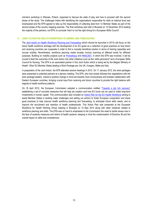mid-term workshop in Warsaw, Poland, organised to discuss the state of play and how to proceed with the second phase of the study. The challenges linked with identifying the organisations responsible for skills at national level was emphasised and the EFN agreed to take up the responsibility of collecting data from 12 Member States as part of the second phase of the country mapping exercise. The final workshop was held in Brussels on 12 December 2012 leading the majority of the partners, not EFN, to conclude 'that it is not the right timing for a European Skills Council'.

#### **E. JOINT ACTION ON HEALTH WORKFORCE PLANNING AND FORECASTING**

The [Joint Action on Health Workforce](http://euhwforce.eu/) Planning and Forecasting (which should be launched in 2013) will focus on the future health workforce shortage with the development of an EU guide as a collection of good practices on how donor and receiving countries can cooperate in order to find a mutually beneficial solution in terms of training capacities and circular mobility. Nevertheless, workforce planning needs broader horizon scanning at different levels for different purposes. Building on mobility projects such as [Prometheus](http://www.euro.who.int/en/who-we-are/partners/observatory/activities/research-studies-and-projects/prometheus) and [RN4CAST,](http://www.rn4cast.eu/en/index.php) in which the EFN was involved, it will be crucial to feed the outcomes of the Joint Action into other initiatives such as the 'skills panorama" and a European Skills Council for Nursing. The EFN is an associated partner in this Joint Action which is being led by the Belgian Ministry of Health. Other EU Member States leading a Work Package are: the UK, Hungary, Malta and Italy.

In preparation of the Joint Action, the EFN attended several meetings in 2012. On 11 January 2012, the work packages were presented to potential partners at a plenary meeting. The EFN, who had closely followed the negotiations with the work package leaders, noticed a positive change in mind-set towards more inclusiveness and broader collaboration with Eastern European countries, bringing crucial input from receiving and donor countries to provide the right balance with regards to health workforce patterns.

On 18 April 2012, the European Commission adopted a communication entitled ["Towards a job rich recovery"](http://eur-lex.europa.eu/LexUriServ/LexUriServ.do?uri=COM:2012:0173:FIN:EN:PDF) establishing a set of concrete measures that will help job creation and how EU funds can be used to make long-term investments in human capital. This communication also included an [Action Plan for the EU Health Workforce](http://ec.europa.eu/dgs/health_consumer/docs/swd_ap_eu_healthcare_workforce_en.pdf) aiming to assist Member States in tackling major challenges and setting out actions to foster European cooperation and share good practices to help improve health workforce planning and forecasting, to anticipate future skills needs, and to improve the recruitment and retention of health professionals. This Action Plan was presented at the European Workforce for Health Working Group meeting in Brussels on 10 May 2012 along with other initiatives related to workforce planning and skills. The EFN was on hand to emphasise to the Commission the need to tackle issues now in the face of austerity measures and reform of health systems, keeping in mind the modernisation of Directive 36 and the overall impact on skills and competences.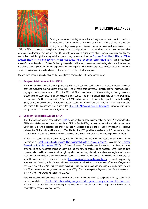

# **IV. BUILDING ALLIANCES**

Building alliances and creating partnerships with key organisations to work on particular issues/topics is very important for the EFN, as this is a means of strengthening civil society in the policy-making process in order to achieve successful policy outcomes. In

2012, the EFN continued to put emphasis not only on its political priorities but also its alliances to achieve concrete policy outcomes. Good working relations with key EU non-state stakeholders built up throughout the years is crucial and this has been truly evident through the strong collaboration with key partners such as the [European Public Health Alliance \(EPHA\),](http://www.epha.org/) [European Health Policy Forum \(EUHPF\),](http://ec.europa.eu/health/interest_groups/eu_health_forum/policy_forum/index_en.htm) [Health First Europe \(HFE\),](http://www.healthfirsteurope.org/) European [Patient Forum](http://www.eu-patient.eu/) (EPF), and the European Nursing Students Association (ENSA). Cultivating these relationships becomes central to achieving effective policy outcomes and it is therefore important for the EFN to participate in meetings with other EU health professionals/stakeholders in order to explore common synergies on health issues that form the basis for collective lobbying.

Key non-state partnership and dialogues that took place to advance the EFN lobby agenda were:

#### **1. European Public Services Union (EPSU)**

The EFN has always valued a solid partnership with social partners, particularly with regards to creating common positions, evaluating the implications of health policies for health care services, and monitoring the implementation of key legislation at national level. In 2012, the EFN and EPSU have been in continuous dialogue, sharing views and experiences on issues that are of key concern to both parties. The most important files were Directive 2005/36/EC and Workforce for Health in which the EFN and EPSU collaborated closely on the input provided to the Feasibility Study on the Establishment of a European Sector Council on Employment and Skills for the Nursing and Care Workforce. 2012 also marked the signing of the **EFN-EPSU** Memorandum of Understanding, further cementing the strong partnership between the two organisations.

#### **2. European Public Health Alliance (EPHA)**

The EFN has been actively engaged with [EPHA](http://www.epha.org/) by participating and sharing information on the EFN's work with other EU health stakeholders, who are also members of EPHA. For the EFN, the major added value of being a member of EPHA lies in its aim to promote and protect the health interests of all EU citizens and to strengthen the dialogue between the EU institutions, citizens and NGOs. The fact that EFN priorities are reflected in EPHA's lobby priorities and that EPHA supports the EFN in achieving its mission and objectives makes this partnership particularly strong.

In 2012, in addition to the monthly Policy Coordination Meetings, the EFN participated in the EPHA Annual Conference on ["Restructuring health systems: How to promote health in times of austerity?"](http://www.epha.org/a/5080), hosted by the [European](http://www.eesc.europa.eu/?i=portal.en.home)  [Economic and Social Committee \(EESC\),](http://www.eesc.europa.eu/?i=portal.en.home) on 6 June in Brussels. The meeting, which aimed to assess how the current crisis and its policy responses impact on health systems and how the crisis could be managed in the future so as to promote better health outcomes for all, brought together trade unions, international national and regional authorities, social, health and environment civil society organisations, and EU decision makers. The EFN General Secretary was invited to give a speech on the nurses' view on "[The economic crisis, population and health](http://www.efnweb.be/wp-content/uploads/2011/09/EFN-SG-speech-at-EPHA-Annual-Conference-23-03-2012-FINAL.pdf)". He took this opportunity to remind that *"Investing in healthcare and healthcare professionals will improve the health of the overall population"* and to explain that *"For the EFN, promoting research, using innovative tools and providing technical support to very specific programmes of change to ensure the sustainability of healthcare systems in place is one of the many ways to invest in the people driving the healthcare system."*

Following recommendations made at the EPHA Annual Conference, the EFN also supported EPHA by attending an experts' roundtable on ["Can the G20 deliver stability and growth to the global economy in the face of the Euro crisis"](http://www.fes-europe.eu/index.php?option=com_content&view=article&id=351%3Acan-the-g20-deliver-stability-and-growth-of-the-global-economy-in-the-face-of-the-euro-crisis&catid=38%3Averanstaltunshinweise&Itemid=64&lang=de) at the EU Office of Friedrich-Ebert-Stiftung, in Brussels on 28 June 2012, in order to explore how health can be brought to the economic political agenda.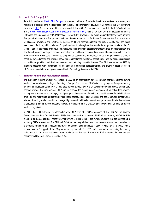#### **3. Health First Europe (HFE)**

As a full member of [Health First Europe](http://www.healthfirsteurope.org/) - a non-profit alliance of patients, healthcare workers, academics, and healthcare experts and the medical technology industry - and member of its Advisory Committee, the EFN is working closely with [HFE.](http://www.healthfirsteurope.org/) As an example of the activities undertaken in 2012, reference can be made to the EFN's attendance in the [Health First Europe Open Forum Debate on Patient Safety](http://www.healthfirsteurope.org/newsroom/182/70/Open-Forum-Debate-on-Patient-Safety-After-event-material) held on 24 April 2012, in Brussels, under the Patronage and Sponsorship of MEP Christofer Fjellner (EPP, Sweden). This event brought together experts from the European Parliament, the European Commission, the German Coalition for Patient Safety, and the European Centre for Disease Prevention and Control, to discuss on HFE's recommendations for patient safety and healthcare associated infections, which calls on EU policymakers to strengthen the standards for patient safety in the EU Member States' healthcare systems, adopt measurable improvement targets for Member States on patient safety, and develop a European strategy to combat the incidence of healthcare associated infections. The discussions focused on the Cross-Border Healthcare Directive, building bridges between the EU Member States through knowledge brokers, health literacy, education and training, heavy workload for limited workforce, patient rights, and the economic pressure on healthcare providers and the importance of demonstrating cost-effectiveness. The EFN also supported HFE by attending meetings with Permanent Representations, Commission representatives, and MEPs in order to present HFE's recommendations and guidelines on Health Technology Assessment (HTA).

#### **4. European Nursing Student Association (ENSA)**

**T**he European Nursing Student Association (ENSA) is an organisation for co-operation between national nursing students' organisations or colleges of nursing in Europe. The purpose of ENSA is to bring together European nursing students and representatives from all countries across Europe. ENSA is an advisory body and follows its members' national policies. The main aims of ENSA are to: promote the highest possible standard of education for European nursing students so that, accordingly, the highest possible standards of nursing and health service for individuals are promoted and maintained, unrestricted by conditions of race, creed, colour, politics, and social status; promote further interest of nursing students and to encourage high professional ideals among them; promote and foster international understanding among nursing students; advise, if requested, on the creation and development of national nursing students organisations.

In 2012, the EFN cultivated its relationship with ENSA through ENSA's presence at the EFN Autumn General Assembly where Jens Dominik Roeder, ENSA President, and Anna Olsson, ENSA Vice-president, briefed the EFN members on ENSA activities, namely on their efforts to bring together the nursing students that feel committed to achieving ENSA's objectives. The EFN and ENSA also exchanged views and common concerns on the modernisation of Directive 36 and the EFN supported ENSA in the dissemination of a press release, in which ENSA emphasised the nursing students' support of the 12-year entry requirement. The EFN looks forward to continuing this strong collaboration in 2013 and welcomes Karin Hoekman as the new President of ENSA, elected in their General Assembly in Novi Sad, Serbia, in October 2012.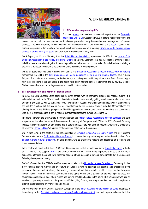



#### **1. EFN Members representing EFN**

This year, [Abbott](http://www.abbott.com/index.htm) commissioned a research report from the [Economist](http://www.eiu.com/)  [Intelligence Unit \(EIU\)](http://www.eiu.com/) investigating ways to extend healthy life years. The

research report looks at new approaches to disease prevention, early intervention and management of chronic diseases. The EFN President, Ms Unni Hembre, was interviewed during the preparation of the [report,](http://digitalresearch.eiu.com/extending-healthy-life-years/content/files/download/report/EIU-Abbott_TacklingChronicDisease_Report_final.pdf) adding a vital nursing perspective to the results of the report, which were presented at a meeting "[Never too early: tackling chronic](http://digitalresearch.eiu.com/extending-healthy-life-years/)  [disease to extend healthy life years](http://digitalresearch.eiu.com/extending-healthy-life-years/)" that took place in Brussels on 14 May 2012.

On 9 August, Ms Dorota Kilanska, from the [Polish Nurses Association,](http://www.ptp.na1.pl/) represented the EFN in the [launch of the](http://www.dsr.dk/dshs/EAHN/Sider/EuropeanAssociationforThehistoryofNursing.aspx)  [European Association of the History of Nursing \(EAHN\),](http://www.dsr.dk/dshs/EAHN/Sider/EuropeanAssociationforThehistoryofNursing.aspx) in Kolding, Denmark. This new Association, bringing together individuals and Associations together in order to provide mutual support and opportunities for collaboration, is aiming at providing a European focus for the development of the discipline of Nursing History.

On 20-21 September, Ms Milka Vasileva, President of the [Bulgarian Association of Health Professionals in Nursing,](http://www.nursing-bg.com/) represented the EFN in the [First Conference on Health Inequalities in the new EU Member States,](http://www.npo.bg/contents/182/) held in Sofia, Bulgaria. The conference addressed, for the first time, the challenge of health inequalities in the South Eastern region from the perspective of the key actors in the health field (policy makers, patient leaders from the 12 new EU Member States, the candidate and acceding countries, and health professionals).

#### **2. EFN participation in EFN Members' national events**

In 2012, the EFN Brussels Office continued to foster contact with its members through key national events. It is extremely important for the EFN to develop its relationship with its members by getting a real sense of what is important to them at EU level, as well as at national level. Taking part in national events is indeed an ideal way of strengthening ties with the members but it is also crucial for understanding the key issues at stake in individual Member States and offering, in return, the EU-level perspective. The EFN appreciates these moments with its members and continues to urge them to organise and take part in national events that promote the nurses' voice in the EU.

Therefore, in March, the EFN General Secretary attended the [Finnish Nurses Associations' national congress](http://www.sairaanhoitajaliitto.fi/) and gave a speech on the latest issues and developments for nursing at European level. While the EFN General Secretary focused mainly on Directive 36 and linking this to other priorities, there was also an opportunity for him to present the EFN's report '[Caring in Crisis](http://www.efnweb.be/wp-content/uploads/2012/05/EFN-Report-on-the-Impact-of-the-Financial-Crisis-on-Nurses-and-Nursing-January-2012-rev-June-2012-24-06-2012.pdf)' at a press conference held at the end of the congress.

On 1<sup>st</sup> June 2012, in the context of the implementation of [Directive 2010/32/EC on sharp injuries,](http://eur-lex.europa.eu/LexUriServ/LexUriServ.do?uri=OJ:L:2010:134:0066:0072:EN:PDF) the EFN General Secretary attended the 3<sup>rd</sup> [Biosafety Network Summit](http://www.europeanbiosafetynetwork.eu/) in London, lending further support to Máximo González of the [Spanish General Council of Nursing,](http://www.cge.enfermundi.com/) an EFN member, who co-chaired the meeting and presented an e-learning tool linked to accreditation.

In the context of Directive 36, the EFN General Secretary was invited to participate in the [Haptstadtkongress](http://www.hauptstadtkongress.de/2012/kongress-2012/) in Berlin on 13 June 2012 to support [DBfK](http://www.dbfk.de/) in the German debate on the 12-year entry requirement. In spite of the strong opposition, attending these high-level meetings sends a strong message to national governments that the nurses are following developments closely.

On 24-25 September, the EFN General Secretary participated in the [Norwegian Nurses](http://www.sykepleierforbundet.no/) Organisation Centenary Jubilee & 9<sup>th</sup> National Nursing Conference on "Future of Nursing" aiming to examine the potential and challenges of the profession of nurses, on their identity, their working environment and their role in the health care system, that took place in Oslo, Norway. After an impressive performance in the Opera House, and a gala dinner, the opening of congress with several speeches made it clear where nurses and nursing should be heading in the future. This Celebration was also an excellent opportunity to meet the colleagues from Finland, UK, Croatia, Montenegro and Denmark and to explore the different stand focussing on innovation and e-health.

On 10 November, the EFN General Secretary participated in the "[salon national pour professions de santé](http://www.anil.lu/salon.php?salon=2)" organised in Luxembourg, by the [Association Nationale des Infirmier\(e\)s Luxembourgeois\(es\),](http://www.anil.lu/) and made a presentation on the latest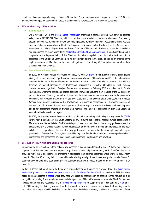developments on nursing and mainly on Directive 36 and the 12-year nursing education requirement. The EFN General Secretary encouraged the Luxembourg nurses to stand up in the next elections and to become politicians.

#### **3. EFN Members' key Lobby Activities**

#### **Sharps Injuries**

On 6 November 2012, the [Polish Nurses' Association](http://www.ptp.na1.pl/) organised a seminar entitled "Our safety is patient's safety, too - 32/2010 EU Directive", which tackled the issue of safety in medical environment. The meeting brought together 100 nurses from Poland and nursing leaders from EFN members' Associations: Milka Vasileva from the Bulgarian Association of Health Professionals in Nursing, Jindra Kracíková from the Czech Nurses Association, and Maria Lévyová from the Slovak Chamber of Nurses and Midwives, to share their knowledge and experiences on the implementation of [Directive 2010/32/EU on sharps injuries.](http://eur-lex.europa.eu/LexUriServ/LexUriServ.do?uri=OJ:L:2010:134:0066:0072:EN:PDF) The participants agreed to cooperate on the implementation of the Directive into national legislation, and to draft a joint report to be presented to the European Commission on the government actions in this area, as well as an analysis of the implementation of the Directive and the impact of legal norms after 11 May 2012 on public health and safety of citizens health care workers.

#### **South Eastern Nursing Skills**

In 2012, the Croatian Nurses Association continued its work on [SENS](http://www.hums.hr/novi/index.php?option=com_content&view=article&id=108&Itemid=48) (South Eastern Nursing Skills) project aiming at the empowerment of professional nursing associations in EU candidate and EU potential candidate countries in the South Eastern Europe for the process of harmonization of nursing education in line with the Directive on Mutual Recognition of Professional Qualifications (Directive 2005/36/EC). Sixth regional conferences were organised in Sarajevo, Bosnia and Herzegovina, in February 2012 and in Dubrovnik, Croatia in June 2012, where the participants gained additional knowledge about the main features of the EU accession process in terms of nursing, as well as insights on the importance of lobbying as a tool in the process of negotiating with decision makers at the state level. Also, taking into account that higher education of nurses (vertical flow, mobility) guarantees the development of nursing in accordance with European practice, all members of SENS re-emphasised the importance of performing all necessary activities and investing extra efforts for appropriate training of trainers and mentors who must be positioned in high and vocational educational institutions in the region.

In 2012, the Croatian Nurses Association also contributed to organising and finding the key topics for [TAIEX](http://ec.europa.eu/enlargement/taiex/index_en.htm) involvement in countries of the South Eastern region. Following this initiative, national nurses associations in Macedonia and Serbia initiated TAIEX workshops in their own countries on the nursing profession, and the establishment of a unified national nursing organisation at federal level in Bosnia and Herzegovina has been initiated. The cooperation in the field of nursing profession in the region has been strengthened with regular participation of nurses from Croatia, Bosnia and Herzegovina, Serbia, Macedonia and Montenegro in seminars, conferences and congresses held in all these countries (cross – participation and travelling).

#### **4. EFN support to EFN Members national key concerns**

Supporting the EFN members in their national key concerns is also an important part of the EFN lobby work. It is very important that the members have this support to go further in their daily national lobby work. Therefore, like in the previous years, the EFN supported its members in addressing their national challenges which were, in 2012, mainly linked to Directive 36 and regulation issues, ultimately affecting quality of health care and patient safety. Some EU countries governments have been taking political decisions that have a serious impact on the delivery of care. As an example:

In Italy, a decree will put at stake the future of nursing education and nursing as a whole. Thus, the Italian Nurses [Association](http://www.cnai.info/) *[\(Consociazione Nazionale delle Associazioni Infermiere-Infermieri \(CNAI\)\)](http://www.cnai.info/)*, a member of EFN, has taken action and has published a [petition](http://www.thepetitionsite.com/442/293/072/sign-the-petition-for-italian-nurses-and-help-nursing-for-the-sake-of-patients/) which they hope will collect as most support as possible in their request for a full recognition of Nursing Science and creation of sufficient positions of Nurse Professors in University. The EFN has been in close contact with the Association and is [fully supporting this action.](http://www.efnweb.be/wp-content/uploads/2011/09/EFN-Press-Release-EFN-Support-the-Italian-Nurses-11-July-2012.pdf) As support the EFN also sent out a [letter](http://www.efnweb.be/wp-content/uploads/2012/07/Letter-from-EFN-to-Italian-Government-11-July-2012.pdf) on 11 July 2012 warning the Italian government not to downgrade nurses and nursing, emphasising that: nursing must be recognised as a single specific discipline distinct from other disciplines; university positions and careers for different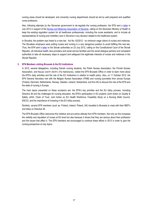nursing areas should be developed; and university nursing departments should be led by well prepared and qualified nurse professors.

Also, following attempts by the Slovenian government to de-regulate the nursing profession, the EFN sent a [letter](http://www.efnweb.be/wp-content/uploads/2012/07/Letter-EFN-support-to-Slovenia-19-July-2012.pdf) in July 2012 in support of the [Nurses and Midwives Association of Slovenia,](http://www.zbornica-zveza.si/) calling on the Slovenian Ministry of Health to keep the existing regulation system for all healthcare professionals, including the nurse assistants, and to include all representatives of nursing and midwifery care in Slovenia in any decision related to the healthcare system.

In Slovakia, the problem was linked to a new law - Act No. 62/2012 - on minimum wage claims of nurses and midwives. The Slovakian employers were putting nurses and nursing in a very dangerous position to avoid fulfilling this new law. Thus, the EFN sent a [letter](http://www.efnweb.be/wp-content/uploads/2012/07/Letter-EFN-support-to-Slovak-Chamber-Nurses-and-Midwives-23-July-2012.pdf) to the Slovak authorities on 23 July 2012, calling on the Constitutional Court of the Slovak Republic, all individual health care providers and social service facilities and the social dialogue partners and competent authorities to take all necessary steps to support and safeguard the legitimate interests of nurses and midwives in the Slovak Republic.

#### **5. EFN Members visiting Brussels & the EU Institutions**

In 2012, several delegations, including Danish nursing students, the Polish Nurses Association, the Finnish Nurses Association, and Nieuwe Unie'91 (NU'91) (The Netherlands), visited the EFN Brussels Office in order to learn more about the EFN's daily activities and the role of the EU Institutions in relation to health policy. Also, on 11 October 2012, the EFN General Secretary met with the Belgian Nurses Association (FNIB) and nursing journalists from across Europe (Finland, Denmark, Netherlands, Norway, Sweden, Iceland, Switzerland, and the UK) to discuss the role of the EFN and the state of nursing in Europe.

The main topics presented on these occasions are: the EFN's key priorities and the EU lobby process, including Directive 36 and the challenges for nursing education, the EFN's participation in EU projects (Joint Action on Quality & Safety, eHGI, Chain of Trust, Joint Action on EU Health Workforce, Feasibility Study on a Nursing Skills Council, ESCO), and the importance of investing in the EU lobby process.

Similarly, several EFN members (such as: Finland, Ireland, Poland, UK) travelled to Brussels to meet with their MEP's and lobby on Directive 36.

The EFN Brussels Office welcomes this initiative and pro-active attitude from EFN members. Not only as this increases the visibility and reputation of nurses at EU level but also because it shows that they are serious about their profession and the issues that affect it. The EFN members are encouraged to continue these efforts in 2013 in order to give the nursing perspective on key topics.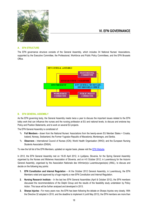

#### **A. EFN STRUCTURE**

The EFN governance structure consists of the General Assembly, which includes 34 National Nurses' Associations, supported by the Executive Committee, the Professional, Workforce and Public Policy Committees, and the EFN Brussels Office.



#### **B. EFN GENERAL ASSEMBLY**

As the EFN governing body, the General Assembly meets twice a year to discuss the important issues related to the EFN lobby work that can influence the nurses and the nursing profession at EU and national levels, to discuss and endorse key Policy and Position Statements, and to work on several EU projects.

The EFN General Assembly is constituted of:

- **Full Members -** drawn from the National Nurses' Associations from the twenty-seven EU Member States + Croatia, Iceland, Norway, Switzerland, the Former Yugoslav Republic of Macedonia, Montenegro, and Serbia.
- **Observers -** International Council of Nurses (ICN); World Health Organisation (WHO); and the European Nursing Students Association (ENSA).

To view the full list of the EFN Members, updated on regular basis, please visit th[e EFN Website.](http://www.efnweb.be/?page_id=802)

In 2012, the EFN General Assembly met on 19-20 April 2012, in Ljubljana, Slovenia, for the Spring General Assembly organised by the Nurses and Midwives Association of Slovenia, and on 4-5 October 2012, in Luxembourg for the Autumn General Assembly, organised by the Association Nationale des Infirmier(e)s Luxembourgeois(es) (ANIL), to discuss and decide on the following key points:

- **1. EFN Constitution and Internal Regulation At the October 2012 General Assembly, in Luxembourg, the EFN** Members voted and approved by a huge majority a new EFN Constitution and Internal Regulation.
- **2. Nursing Research Institute**  In the last two EFN General Assemblies (April & October 2012), the EFN members discussed the recommendations of the Delphi Group and the results of the feasibility study undertaken by Policy Action. This issue will be further analysed and developed in 2013.
- **3. Sharps Injuries -** For many years now, the EFN has been following the debate on Sharps Injuries very closely. With the Directive 32 adopted in 2010, and the deadline to implement it (until May 2013), the EFN members are more than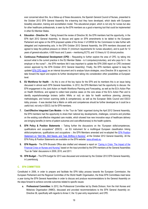ever concerned about this. As a follow-up of these discussions, the Spanish General Council of Nurses, presented to the October 2012 EFN General Assembly the e-learning tool they have developed, which deals with European biosafety education, training and accreditation model. This educational project, which is not only for nurses but also for other healthcare professionals, is seen by the EFN members as a good e-learning tool that could be implemented in other EU Member States.

- **4. Education - Directive 36** Taking forward the review of Directive 36, the EFN members had the opportunity, in the EFN April 2012 General Assembly, to discuss and agree on EFN amendments to be tabled to the European Parliament and agree on the EFN proposed update of the Annex V of DIR36 for the Commission to take further with delegated and implementing acts. In the EFN October 2012 General Assembly, the EFN members discussed and agreed to keep the political pressure on Article 31 (minimum requirements for nurses education), and to push for 12 years of general education, 4.600 hours and 3 years – mentioning ECTS, and 1/3 theory & 1/2 clinical practice.
- **5. Continuous Professional Development (CPD)** Requesting to further explore the area of CPD, by taking into account what is the current practice in the EU Member States - is it compulsory/voluntary, and who pays for it - the employer or the nurse? -, the EFN members felt it was important to update the EFN 2006 report on CPD (reviewed version approved by the EFN October 2012 General Assembly). Finally, the EFN members agreed to keep the updated [EFN CPD report](http://www.efnweb.be/wp-content/uploads/2012/11/EFN-Report-on-CPD-June-2006-Final-rev-22-10-2012.pdf) as an internal document and to analyse future strategies, once Directive 36 is approved, to take forward the report and explore its further development taking into consideration other possibilities at European level.
- **6. EU Workforce for Health** As this is one of the key topics for the EFN and its members this is an issue being discussed in almost each EFN General Assemblies. In 2012, the EFN Members had the opportunity to discuss: the EFN engagement in the Joint Action on Health Workforce Planning and Forecasting, as well as the EU's Action Plan on Health Workforce, and agreed to collect best practice cases on the core areas of the EU's Action Plan and to identify experts/knowledge brokers (within NNAs or not) on data for health workforce planning, planning methodologies, and horizon scanning (skills & competences); as well as the European Skills Council and ESCO lobby process - It was decided that a Matrix on skills and competences should be further developed as it could be a useful tool, not only in ESCO, but for EFN members.
- **7. Cost-Effective Integrated Care Models -** In the 'Tour de Table' organised during the April 2012 General Assembly, the EFN members had the opportunity to share their national key developments, challenges, concerns and priorities on the existing cost-effective integrated care models, which showed how new innovative ways of healthcare delivery are bringing benefits (in terms of patient outcomes and cost-effectiveness) to the health systems.
- **8. EFN Policy & Position Statements**  Taking further the discussions on the "European skills/competences, qualifications and occupations" (ESCO) - an EU instrument for a multilingual European classification linking skills/competences, qualifications and occupations -, the EFN Members amended and re-adopted the [EFN Position](http://www.efnweb.be/wp-content/uploads/2011/09/EFN-Position-Statement-on-Skill-Needs-Skill-Mix-and-Task-Shifting-in-Nursing-2008-Rev-Oct.-2012.pdf)  [Statement on "Skill Mix, Skill Needs, and Task Shifting in Nursing"](http://www.efnweb.be/wp-content/uploads/2011/09/EFN-Position-Statement-on-Skill-Needs-Skill-Mix-and-Task-Shifting-in-Nursing-2008-Rev-Oct.-2012.pdf), at the October 2012 General Assembly. All the EFN Policy & Position Statements are available on the EFN website[: www.efnweb.eu.](http://www.efnweb.eu/)
- **9. EFN Reports** The EFN Brussels Office also drafted and released a report on ["Caring in Crisis: The Impact of the](http://www.efnweb.be/wp-content/uploads/2012/05/EFN-Report-on-the-Impact-of-the-Financial-Crisis-on-Nurses-and-Nursing-January-2012-rev-June-2012-24-06-2012.pdf)  [Financial Crisis on Nurses and Nursing"](http://www.efnweb.be/wp-content/uploads/2012/05/EFN-Report-on-the-Impact-of-the-Financial-Crisis-on-Nurses-and-Nursing-January-2012-rev-June-2012-24-06-2012.pdf) based on the input provided by the EFN members at the General Assemblies 'Tour de Table' discussions in 2009, 2010, and 2011.
- **10. EFN Budget** The EFN budget for 2013 was discussed and endorsed by the October 2012 EFN General Assembly, in Luxembourg.

#### **C. EFN COMMITTEES**

Constituted in 2006, in order to prepare and facilitate the EFN lobby process towards the European Commission, the European Parliament and the Regional Committee of the World Health Organisation, the three EFN Committees meet twice a year during the EFN General Assemblies in order to discuss and produce recommendations to the General Assembly on the steps forward to achieve concrete outcomes related to specific issues:

**a. Professional Committee:** In 2012, the Professional Committee led by Sheila Dickson, from the Irish Nurses and Midwives Organisation (INMO), discussed and provided recommendations to the EFN General Assembly on: Directive 36, specifically with regards to Annex V, the 12-year entry requirement, and CPD.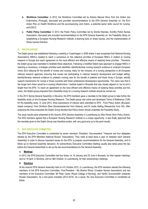- **b. Workforce Committee:** In 2012, the Workforce Committee led by Antonio Manuel Silva, from the Ordem dos Enfermeiros (Portugal), discussed and provided recommendations to the EFN General Assembly on: the EU's Action Plan on Health Workforce and the accompanying Joint Action, a potential sector skills council for nursing, and ESCO.
- **c. Public Policy Committee:** In 2012, the Public Policy Committee led by Dorota Kilanska, fromthe Polish Nurses Association, discussed and provided recommendations to the EFN General Assembly on: the Feasibility Study on establishing a European Nursing Research Institute, e-learning tools on sharp injuries, and the implementation of Sharp Injuries Directive.

#### **D. DELPHI GROUP**

The Delphi group was established following a meeting in Copenhagen in 2008 where it was recognised that National Nursing Associations (NNA's) needed to reach a consensus on the collective priorities of European NNA's in relation to nursing research in Europe and reach agreement on the most efficient and effective means of realising these priorities . Therefore, the Delphi group was mandated to facilitate these objectives. Following a modified Delphi type approach to engage NNA's in reaching a consensus, 4 strategic priorities were identified: identify/develop nursing research evidence to underpin European Union (EU) lobbying for the benefit of nurses and nursing; lobby for the inclusion of a nursing perspective in all European national research agencies, ensuring that nurses are participating in national research development and budget setting; identify/develop research evidence to underpin nursing care for the benefit of patients and those living in Europe; identify support mechanisms for nurses in those countries with fewer professional development opportunities. The vision was that in the longer term there would be a nursing infrastructure / institute based in Brussels that was closely aligned to, but at arm's length from the EFN. To reach an agreement on the most efficient and effective means of realising these priorities and this vision, the Delphi group proposed that a feasibility study for a nursing research institute should be carried out.

In the 2012 Spring General Assembly in Slovenia, the EFN members gave a mandate to the Delphi group to take further the feasibility study on the European Nursing Research. The Delphi group met online and developed Terms of Reference (ToR) for the feasibility study. In June 2012, three expressions of interest were submitted to EFN - From Policy Action (Brusselsbased company); from Dimitrios Zikos (Nurse/researcher from Greece); and Dr Leslie Gelling (Researcher from UK). After analysing the three proposals the Delphi Group decided that Policy Action should undertake the Feasibility Study.

The study results were presented at the Autumn EFN General Assembly in Luxembourg by Wes Himes (from Policy Action). The EFN members agreed that a European Nursing Research Institute is a unique opportunity. It was finally approved that the mandate given to the Delphi Group was therefore ended, with very good and up to the point results.

#### **E. EFN EXECUTIVE COMMITTEE**

The EFN Executive Committee is constituted by seven members: President, Vice-president, Treasurer and four delegates elected by the EFN Members National Nurses' Associations. They meet at least twice a year (in between each General Assembly) in order to discuss important issues for the EFN, to prepare recommendations for the General Assembly, and to follow up on General Assembly decisions. An extraordinary Executive Committee meeting usually also takes place the day before the General Assemblies to set up the last recommendations for the General Assembly.

#### **a. Meetings**

In 2012, the EFN Executive Committee met four times: on 18 January and 25 June in Brussels, for their regular meetings; and on 18 April, in Slovenia, and on 3&5 October, in Luxembourg, for their extraordinary meetings.

#### **b. Elections**

At the Autumn EFN General Assembly held on 4-5 October 2012, in Luxembourg, the EFN members elected the following members of the EFN Executive Committee: Vice-President - Ms Branka Rimac (Croatian Nurses Association) and two members of the Executive Committee: Mr Peter Carter (Royal College of Nursing), and Herdís Gunnarsdóttir (Icelandic Nurses Association), for a two-years mandate (2012-2014). As a result, the new Executive Committee is constituted as follow: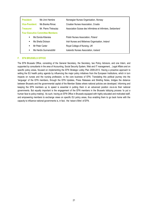| <b>President:</b>                        | Ms Unni Hembre       | Norwegian Nurses Organisation, Norway                         |  |  |  |
|------------------------------------------|----------------------|---------------------------------------------------------------|--|--|--|
| <b>Vice-President:</b>                   | Ms Branka Rimac      | Croatian Nurses Association, Croatia                          |  |  |  |
| Treasurer:                               | Mr. Pierre Théraulaz | Association Suisse des Infirmières et Infirmiers, Switzerland |  |  |  |
| <b>Four Executive Committee Members:</b> |                      |                                                               |  |  |  |
| Ms Dorota Kilanska<br>$\blacksquare$     |                      | Polish Nurses Association, Poland                             |  |  |  |
| Ms Sheila Dickson<br>٠                   |                      | Irish Nurses and Midwives Organisation, Ireland               |  |  |  |
| Mr Peter Carter<br>$\blacksquare$        |                      | Royal College of Nursing, UK                                  |  |  |  |
| Ms Herdís Gunnarsdóttir<br>٠             |                      | Icelandic Nurses Association, Iceland                         |  |  |  |

#### **F. EFN BRUSSELS OFFICE**

The EFN Brussels Office, consisting of the General Secretary, the Secretary, two Policy Advisors, and one Intern, and supported by consultants in the area of Accounting, Social Security System, Web and IT management, , Legal Affairs and on specific policy areas, focused on implementing the EFN Strategic Lobby Plan 2009-2013. Having a proactive approach to setting the EU health policy agenda by influencing the major policy initiatives from the European Institutions, which in turn impacts on nurses and the nursing profession, is the core business of EFN. Translating this political journey into the 'language' of the EFN members, through the EFN Updates, Press Releases and Briefing Notes, bridges the distance between Brussels and the governmental capital of the Member States where national policies are developed. Informing and keeping the EFN members up to speed is essential in putting them in an advanced position vis-à-vis their national governments. But equally important is the engagement of the EFN members in the Brussels lobbying process 'to put a human face to policy-making'. As such, having an EFN Office in Brussels equipped with highly educated and motivated staff, and empowering members to exchange views on specific EU policy areas, thus enabling them to go back home with the capacity to influence national governments is, in fact, the 'raison d'être' of EFN.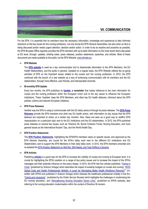

### **VII. COMMUNICATION**

For the EFN, it is essential that its members have the necessary information, knowledge and experience to take informed decisions on the key issues for the nursing profession, not only during the EFN General Assemblies, but also when an item is being discussed and/or needs urgent attention, decision and/or action. In order to be as reactive and proactive as possible, the EFN Brussels Office regularly provides the EFN members with up-to-date information on the most recent items discussed at EU level, through: updates, briefing notes, press releases, position statements, speeches, and articles. Most of these documents are made available to the public via the EFN Website[: www.efnweb.eu.](http://www.efnweb.eu/) 

#### **EFN Website**

The **[EFN website](http://www.efnweb.eu/)** is used as a key communication tool to disseminate information to the EFN Members, the EU Health Stakeholders, and the public in general. Updated on a regular basis, the EFN Website reflects the on-going activities of EFN on the important issues related to the nurses and the nursing profession. In 2012, the EFN continued with the launch of a new website as a way of enhancing communication with its members and the EU stakeholders, through more effective, user-friendly, and interoperable channels.

#### **Bi-monthly EFN Update**

Every two months, the EFN publishes its **[Update,](http://www.efnweb.be/?page_id=875) a newsletter** that makes reference to the main information for nurses and the nursing profession within the European Union and to the key issues to influence the European Institutions. These 'Updates' keep the EFN Members, and other key EU health alliances, informed about the EFN policies, actions and relevant European initiatives.

#### **EFN Press Releases**

Another way the EFN is using to communicate with the EU lobby arena is through its press releases. The **[EFN Press](http://www.efnweb.be/?page_id=882)  [Releases](http://www.efnweb.be/?page_id=882)** provide the EFN members and other key EU health actors, with information on key issues that the EFN believes are important to share, at a certain key moment. Also, these are seen as a good way to reaffirm EFN views/position on a particular topic next to the EU Institutions and the EU stakeholders. In 2012, the EFN published press releases on several key issues, such as: Directive 36, Social Cohesion Funds, Nursing Education, and more general issues as the International Nurses" Day, and the World Health Day.

#### **EFN Position Statements**

The **[EFN Position Statements](http://www.efnweb.be/?page_id=833)**, highlighting the EFN/EFN members views on specific issues, and approved by the EFN General Assembly, are crucial for the EFN's lobby work next to the different EU Institutions and EU Stakeholders, and to support the EFN Members in their daily lobby work. In 2012, the EFN members amended and re-adopted the EFN Position Statement on [Skill Mix, Skill Needs, and Task Shifting in Nursing.](http://www.efnweb.be/wp-content/uploads/2011/09/EFN-Position-Statement-on-Skill-Needs-Skill-Mix-and-Task-Shifting-in-Nursing-2008-Rev-Oct.-2012.pdf)

#### **EFN Articles**

Publishing **[articles](http://www.efnweb.be/?page_id=2258)** is a good way for the EFN to increase the visibility of nurses and nursing at European level. It is crucial for highlighting the EFN's position on a range of key policy issues and to increase the impact of the EFN's messages and their potential influence on the policy design. In 2012, the EFN had four articles published: "[Caring in](http://www.scienceomega.com/article/147/caring-in-crisis)  [Crisis](http://www.scienceomega.com/article/147/caring-in-crisis)" *(published by Science Omega)* which describes the impact of austerity budgets on nurses and nursing; "[WHO](http://www.scienceomega.com/article/433/will-the-who-global-code-benefit-health-workforces)  [Global Code and Health Professionals' Mobility: A Lever for Stimulating Better Health Workforce Planning?](http://www.scienceomega.com/article/433/will-the-who-global-code-benefit-health-workforces)**"** *(cowritten with EPHA and published in Science Omega)* which stresses the healthcare professional mobility in the EU; "[Caring and comparing](http://www.publicservice.co.uk/article.asp?publication=European%20Union&id=590&content_name=Health%20and%20Social%20Care&article=20953)" *(published by the Public Service Review)* which highlights the challenges in modernising the EU nursing education;, and ["Strengthening Nursing Education Saves Lives"](http://www.epha.org/a/5406), *(published on EPHA website)*, also referring to the nursing education modernisation within the context of Directive 36 revision.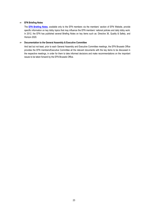#### **EFN Briefing Notes**

The **[EFN Briefing Notes](http://www.efnweb.be/?page_id=2295)**, available only to the EFN members via the members' section of [EFN Website,](http://www.efnweb.eu/) provide specific information on key lobby topics that may influence the EFN members' national policies and daily lobby work. In 2012, the EFN has published several Briefing Notes on key items such as: Directive 36, Quality & Safety, and Horizon 2020.

#### **Documentation to the General Assembly & Executive Committee**

And last but not least, prior to each General Assembly and Executive Committee meetings, the EFN Brussels Office provides the EFN members/Executive Committee all the relevant documents with the key items to be discussed in the respective meetings, in order for them to take informed decisions and make recommendations on the important issues to be taken forward by the EFN Brussels Office.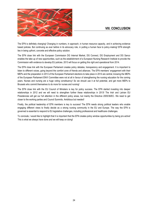## **VIII. CONCLUSION**



The EFN is definitely changing! Changing in numbers, in approach, in human resource capacity, and in achieving evidence based policies. But continuing as ever before in its advocacy role, in putting a human face to policy-making! EFN strength lies in being upfront, concrete and effective policy solution.

The EFN close link with the European Commission DG Internal Market, DG Connect, DG Employment and DG Sanco enables the take up of new opportunities, such as the establishment of a European Nursing Research Institute to provide the Commission with evidence to develop EU policies. 2013 will focus on getting this right and operational from 2014.

The EFN close link with the European Parliament creates policy debates, transparency and engagement. It is important to listen to different voices, going beyond the comfort zone of friends and alliances. The EFN members' engagement with their MEPs and the preparation in 2013 of the European Parliament elections to take place in 2014 are central, knowing the MEPs of the European Parliament ENVI Committee were not at all in favour of strengthening the nursing education for the coming years. Nurses and nursing are a huge voting constituency! So we should use it at full potential, and get more MEPs to Brussels who commit themselves to do more for nurses and nursing!

The EFN close link with the EU Council of Ministers is key for policy success. The EFN started investing into deeper relationships in 2012 and we will need to strengthen further these relationships in 2013! The Irish and Latvian EU Presidencies will get our full attention in the different policy areas, but mainly the Directive 2005/36/EC. We need to get closer to the working parties and Council Summits. Ambitious but needed!

Finally, the political leadership of EFN members is key to success! The EFN needs strong political leaders who enable engaging different views to finally decide as a strong nursing community in the EU and Europe. The way the EFN is governed is essential to respond to EU legislative challenges, including professional and healthcare challenges.

To conclude, I would like to highlight that it is important that the EFN creates policy window opportunities by being pro-active! This is what we always have done and we will keep on doing!